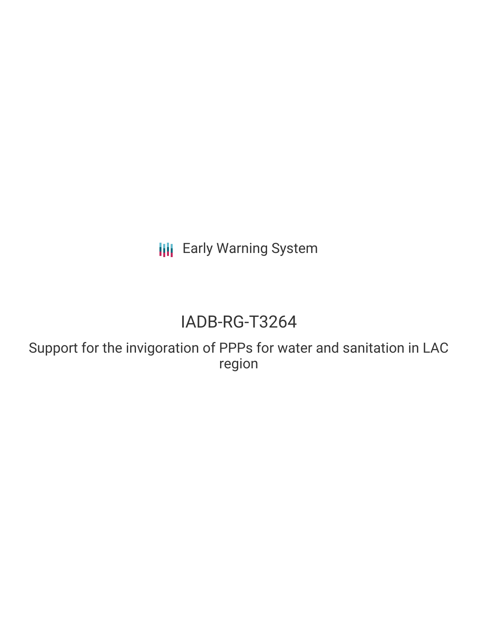**III** Early Warning System

# IADB-RG-T3264

Support for the invigoration of PPPs for water and sanitation in LAC region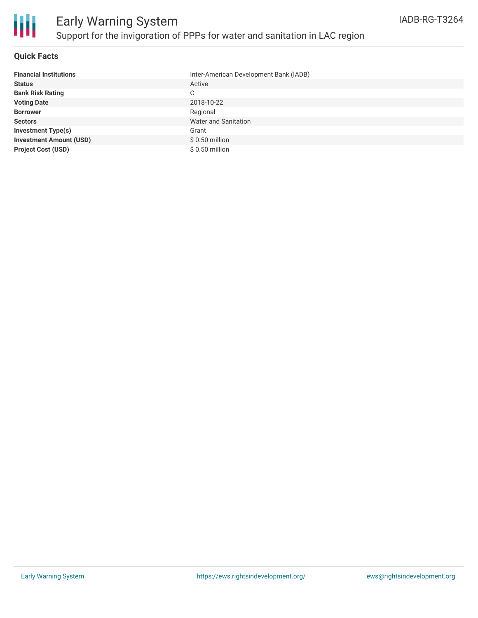

### **Quick Facts**

| <b>Financial Institutions</b>  | Inter-American Development Bank (IADB) |
|--------------------------------|----------------------------------------|
| <b>Status</b>                  | Active                                 |
| <b>Bank Risk Rating</b>        | C                                      |
| <b>Voting Date</b>             | 2018-10-22                             |
| <b>Borrower</b>                | Regional                               |
| <b>Sectors</b>                 | <b>Water and Sanitation</b>            |
| <b>Investment Type(s)</b>      | Grant                                  |
| <b>Investment Amount (USD)</b> | $$0.50$ million                        |
| <b>Project Cost (USD)</b>      | $$0.50$ million                        |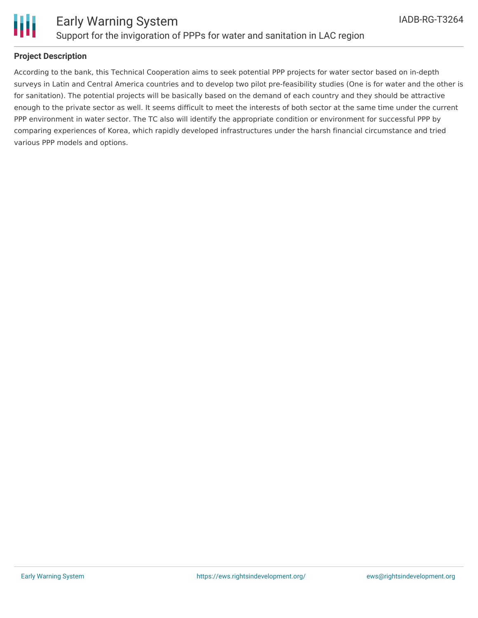

## **Project Description**

According to the bank, this Technical Cooperation aims to seek potential PPP projects for water sector based on in-depth surveys in Latin and Central America countries and to develop two pilot pre-feasibility studies (One is for water and the other is for sanitation). The potential projects will be basically based on the demand of each country and they should be attractive enough to the private sector as well. It seems difficult to meet the interests of both sector at the same time under the current PPP environment in water sector. The TC also will identify the appropriate condition or environment for successful PPP by comparing experiences of Korea, which rapidly developed infrastructures under the harsh financial circumstance and tried various PPP models and options.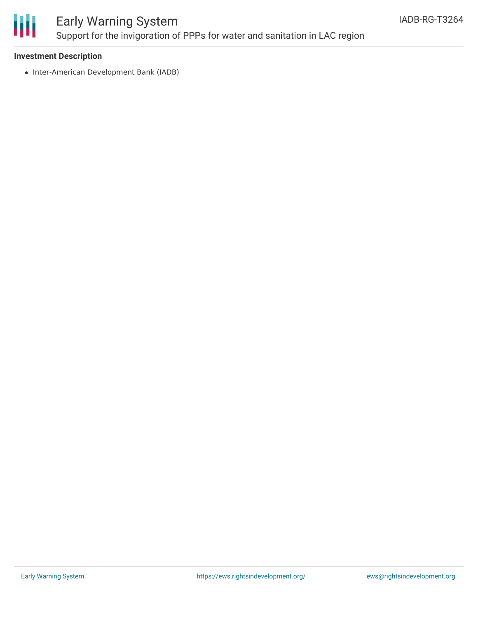

# Early Warning System Support for the invigoration of PPPs for water and sanitation in LAC region

### **Investment Description**

• Inter-American Development Bank (IADB)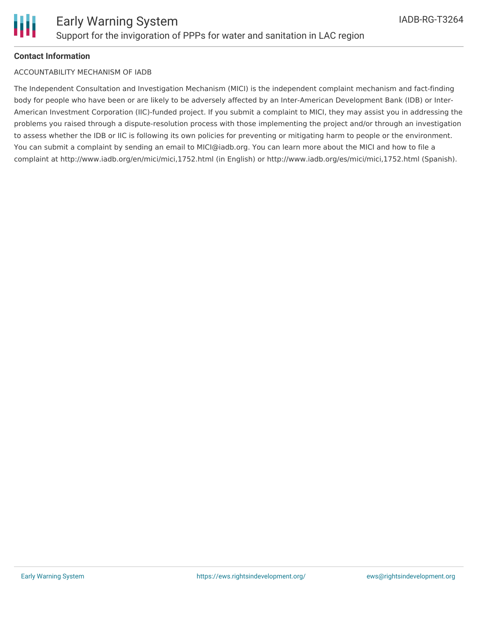

#### **Contact Information**

#### ACCOUNTABILITY MECHANISM OF IADB

The Independent Consultation and Investigation Mechanism (MICI) is the independent complaint mechanism and fact-finding body for people who have been or are likely to be adversely affected by an Inter-American Development Bank (IDB) or Inter-American Investment Corporation (IIC)-funded project. If you submit a complaint to MICI, they may assist you in addressing the problems you raised through a dispute-resolution process with those implementing the project and/or through an investigation to assess whether the IDB or IIC is following its own policies for preventing or mitigating harm to people or the environment. You can submit a complaint by sending an email to MICI@iadb.org. You can learn more about the MICI and how to file a complaint at http://www.iadb.org/en/mici/mici,1752.html (in English) or http://www.iadb.org/es/mici/mici,1752.html (Spanish).